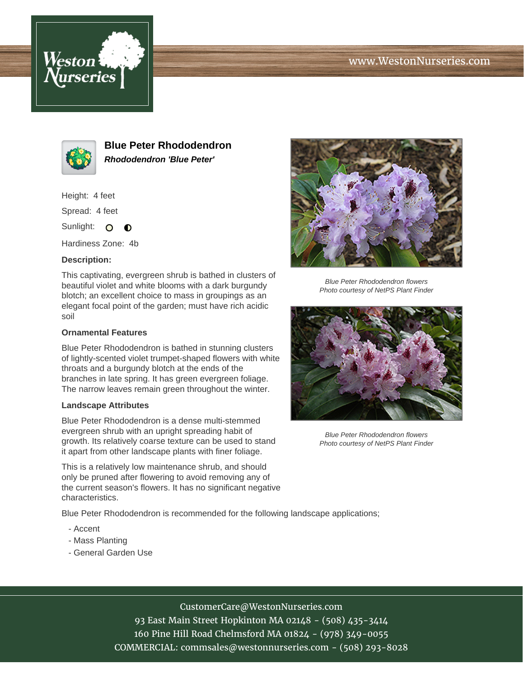





**Blue Peter Rhododendron Rhododendron 'Blue Peter'**

Height: 4 feet

Spread: 4 feet

Sunlight: O  $\bullet$ 

Hardiness Zone: 4b

## **Description:**

This captivating, evergreen shrub is bathed in clusters of beautiful violet and white blooms with a dark burgundy blotch; an excellent choice to mass in groupings as an elegant focal point of the garden; must have rich acidic soil

## **Ornamental Features**

Blue Peter Rhododendron is bathed in stunning clusters of lightly-scented violet trumpet-shaped flowers with white throats and a burgundy blotch at the ends of the branches in late spring. It has green evergreen foliage. The narrow leaves remain green throughout the winter.

## **Landscape Attributes**

Blue Peter Rhododendron is a dense multi-stemmed evergreen shrub with an upright spreading habit of growth. Its relatively coarse texture can be used to stand it apart from other landscape plants with finer foliage.

This is a relatively low maintenance shrub, and should only be pruned after flowering to avoid removing any of the current season's flowers. It has no significant negative characteristics.

Blue Peter Rhododendron is recommended for the following landscape applications;

- Accent
- Mass Planting
- General Garden Use



Blue Peter Rhododendron flowers Photo courtesy of NetPS Plant Finder



Blue Peter Rhododendron flowers Photo courtesy of NetPS Plant Finder

CustomerCare@WestonNurseries.com

93 East Main Street Hopkinton MA 02148 - (508) 435-3414 160 Pine Hill Road Chelmsford MA 01824 - (978) 349-0055 COMMERCIAL: commsales@westonnurseries.com - (508) 293-8028